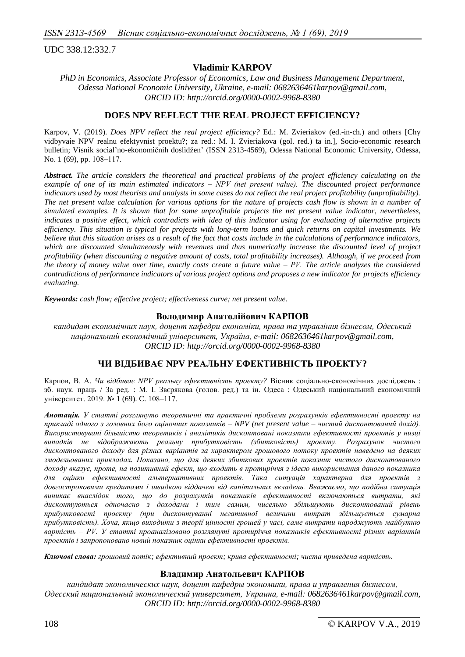UDC 338.12:332.7

### **Vladimir KARPOV**

*PhD in Economics, Associate Professor of Economics, Law and Business Management Department, Odessa National Economic University, Ukraine, e-mail: 068263646[1karpov@g](mailto:karpov1958@yandex.ua)mail.com, ORCID ID: http://orcid.org/0000-0002-9968-8380*

### **DOES NPV REFLECT THE REAL PROJECT EFFICIENCY?**

Karpov, V. (2019). *Does NPV reflect the real project efficiency?* Ed.: M. Zvieriakov (ed.-in-ch.) and others [Chy vidbyvaіe NPV realnu efektyvnist proektu?; za red.: М. I. Zvieriakova (gol. red.) ta in.], Socio-economic research bulletin; Vìsnik socìal'no-ekonomìčnih doslìdžen' (ISSN 2313-4569), Odessa National Economic University, Odessa, No. 1 (69), pp. 108–117.

*Abstract. The article considers the theoretical and practical problems of the project efficiency calculating on the example of one of its main estimated indicators ‒ NPV (net present value). The discounted project performance indicators used by most theorists and analysts in some cases do not reflect the real project profitability (unprofitability).* The net present value calculation for various options for the nature of projects cash flow is shown in a number of *simulated examples. It is shown that for some unprofitable projects the net present value indicator, nevertheless, indicates a positive effect, which contradicts with idea of this indicator using for evaluating of alternative projects efficiency. This situation is typical for projects with long-term loans and quick returns on capital investments. We believe that this situation arises as a result of the fact that costs include in the calculations of performance indicators, which are discounted simultaneously with revenues and thus numerically increase the discounted level of project profitability (when discounting a negative amount of costs, total profitability increases). Although, if we proceed from the theory of money value over time, exactly costs create a future value ‒ PV. The article analyzes the considered contradictions of performance indicators of various project options and proposes a new indicator for projects efficiency evaluating.*

*Keywords: cash flow; effective project; effectiveness curve; net present value.*

#### **Володимир Анатолійович КАРПОВ**

*кандидат економічних наук, доцент кафедри економіки, права та управління бізнесом, Одеський національний економічний університет, Україна, e-mail: 068263646[1karpov@g](mailto:karpov1958@yandex.ua)mail.com, ORCID ID: http://orcid.org/0000-0002-9968-8380*

# **ЧИ ВІДБИВАЄ NPV РЕАЛЬНУ ЕФЕКТИВНІСТЬ ПРОЕКТУ?**

Карпов, В. А. *Чи відбиває NPV реальну ефективність проекту?* Вісник соціально-економічних досліджень : зб. наук. праць / За ред. : М. І. Звєрякова (голов. ред.) та ін. Одеса : Одеський національний економічний університет. 2019. № 1 (69). C. 108‒117.

*Анотація. У статті розглянуто теоретичні та практичні проблеми розрахунків ефективності проекту на прикладі одного з головних його оціночних показників – NPV (net present value ‒ чистий дисконтований дохід). Використовувані більшістю теоретиків і аналітиків дисконтовані показники ефективності проектів у низці випадків не відображають реальну прибутковість (збитковість) проекту. Розрахунок чистого дисконтованого доходу для різних варіантів за характером грошового потоку проектів наведено на деяких змодельованих прикладах. Показано, що для деяких збиткових проектів показник чистого дисконтованого доходу вказує, проте, на позитивний ефект, що входить в протиріччя з ідеєю використання даного показника для оцінки ефективності альтернативних проектів. Така ситуація характерна для проектів з довгостроковими кредитами і швидкою віддачею від капітальних вкладень. Вважаємо, що подібна ситуація виникає внаслідок того, що до розрахунків показників ефективності включаються витрати, які дисконтуються одночасно з доходами і тим самим, чисельно збільшують дисконтований рівень прибутковості проекту (при дисконтуванні негативної величини витрат збільшується сумарна прибутковість). Хоча, якщо виходити з теорії цінності грошей у часі, саме витрати народжують майбутню вартість ‒ PV. У статті проаналізовано розглянуті протиріччя показників ефективності різних варіантів проектів і запропоновано новий показник оцінки ефективності проектів.*

*Ключові слова: грошовий потік; ефективний проект; крива ефективності; чиста приведена вартість.*

### **Владимир Анатольевич КАРПОВ**

*кандидат экономических наук, доцент кафедры экономики, права и управления бизнесом, Одесский национальный экономический университет, Украина, e-mail: 068263646[1karpov@g](mailto:karpov1958@yandex.ua)mail.com, ORCID ID: http://orcid.org/0000-0002-9968-8380*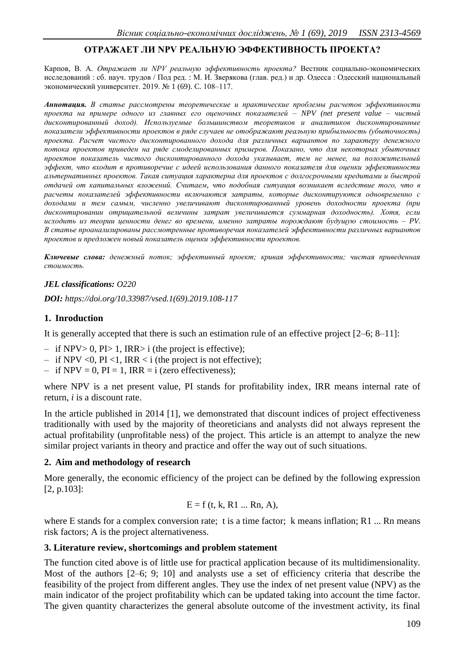# **ОТРАЖАЕТ ЛИ NPV РЕАЛЬНУЮ ЭФФЕКТИВНОСТЬ ПРОЕКТА?**

Карпов, В. А. *Отражает ли NPV реальную эффективность проекта?* Вестник социально-экономических исследований : сб. науч. трудов / Под ред. : М. И. Зверякова (глав. ред.) и др. Одесса : Одесский национальный экономический университет. 2019. № 1 (69). C. 108‒117.

*Аннотация. В статье рассмотрены теоретические и практические проблемы расчетов эффективности проекта на примере одного из главных его оценочных показателей – NPV (net present value ‒ чистый дисконтированный доход). Используемые большинством теоретиков и аналитиков дисконтированные показатели эффективности проектов в ряде случаев не отображают реальную прибыльность (убыточность) проекта. Расчет чистого дисконтированного дохода для различных вариантов по характеру денежного потока проектов приведен на ряде смоделированных примеров. Показано, что для некоторых убыточных проектов показатель чистого дисконтированного дохода указывает, тем не менее, на положительный эффект, что входит в противоречие с идеей использования данного показателя для оценки эффективности альтернативных проектов. Такая ситуация характерна для проектов с долгосрочными кредитами и быстрой отдачей от капитальных вложений. Считаем, что подобная ситуация возникает вследствие того, что в расчеты показателей эффективности включаются затраты, которые дисконтируются одновременно с доходами и тем самым, численно увеличивают дисконтированный уровень доходности проекта (при дисконтировании отрицательной величины затрат увеличивается суммарная доходность). Хотя, если исходить из теории ценности денег во времени, именно затраты порождают будущую стоимость – PV. В статье проанализированы рассмотренные противоречия показателей эффективности различных вариантов проектов и предложен новый показатель оценки эффективности проектов.*

*Ключевые слова: денежный поток; эффективный проект; кривая эффективности; чистая приведенная стоимость.*

### *JEL classifications: O220*

*DOI: https://doi.org/10.33987/vsed.1(69).2019.108-117*

# **1. Inroduction**

It is generally accepted that there is such an estimation rule of an effective project [2–6; 8–11]:

- $-$  if NPV $> 0$ , PI $> 1$ , IRR $> i$  (the project is effective);
- $-$  if NPV <0, PI <1, IRR < i (the project is not effective);
- $-$  if NPV = 0, PI = 1, IRR = i (zero effectiveness);

where NPV is a net present value, PI stands for profitability index, IRR means internal rate of return, *i* is a discount rate.

In the article published in 2014 [1], we demonstrated that discount indices of project effectiveness traditionally with used by the majority of theoreticians and analysts did not always represent the actual profitability (unprofitable ness) of the project. This article is an attempt to analyze the new similar project variants in theory and practice and offer the way out of such situations.

# **2. Aim and methodology of research**

More generally, the economic efficiency of the project can be defined by the following expression [2, p.103]:

$$
E = f(t, k, R1 ... Rn, A),
$$

where E stands for a complex conversion rate; t is a time factor; k means inflation; R1 ... Rn means risk factors; A is the project alternativeness.

### **3. Literature review, shortcomings and problem statement**

The function cited above is of little use for practical application because of its multidimensionality. Most of the authors [2–6; 9; 10] and analysts use a set of efficiency criteria that describe the feasibility of the project from different angles. They use the index of net present value (NPV) as the main indicator of the project profitability which can be updated taking into account the time factor. The given quantity characterizes the general absolute outcome of the investment activity, its final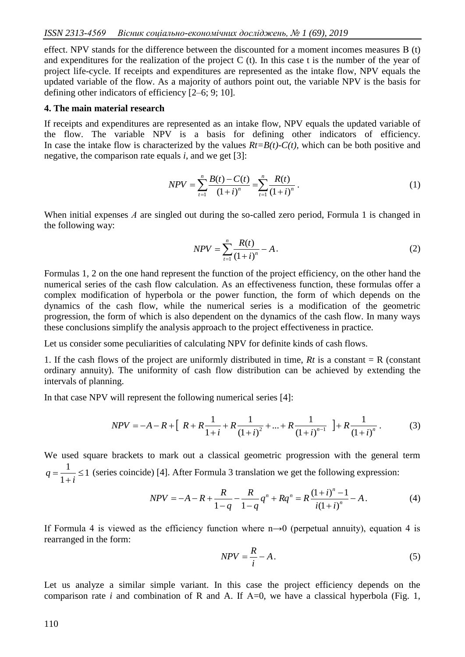effect. NPV stands for the difference between the discounted for a moment incomes measures В (t) and expenditures for the realization of the project C (t). In this case t is the number of the year of project life-cycle. If receipts and expenditures are represented as the intake flow, NPV equals the updated variable of the flow. As a majority of authors point out, the variable NPV is the basis for defining other indicators of efficiency [2–6; 9; 10].

#### **4. The main material research**

If receipts and expenditures are represented as an intake flow, NPV equals the updated variable of the flow. The variable NPV is a basis for defining other indicators of efficiency. In case the intake flow is characterized by the values  $Rt=B(t)-C(t)$ , which can be both positive and negative, the comparison rate equals *i*, and we get [3]:

$$
NPV = \sum_{t=1}^{n} \frac{B(t) - C(t)}{(1+i)^n} = \sum_{t=1}^{n} \frac{R(t)}{(1+i)^n}.
$$
 (1)

When initial expenses *A* are singled out during the so-called zero period, Formula 1 is changed in the following way:

$$
NPV = \sum_{t=1}^{n} \frac{R(t)}{(1+i)^n} - A.
$$
 (2)

Formulas 1, 2 on the one hand represent the function of the project efficiency, on the other hand the numerical series of the cash flow calculation. As an effectiveness function, these formulas offer a complex modification of hyperbola or the power function, the form of which depends on the dynamics of the cash flow, while the numerical series is a modification of the geometric progression, the form of which is also dependent on the dynamics of the cash flow. In many ways these conclusions simplify the analysis approach to the project effectiveness in practice.

Let us consider some peculiarities of calculating NPV for definite kinds of cash flows.

1. If the cash flows of the project are uniformly distributed in time,  $Rt$  is a constant = R (constant ordinary annuity). The uniformity of cash flow distribution can be achieved by extending the intervals of planning.

In that case NPV will represent the following numerical series [4]:

$$
NPV = -A - R + \left[ R + R \frac{1}{1+i} + R \frac{1}{(1+i)^2} + \dots + R \frac{1}{(1+i)^{n-1}} \right] + R \frac{1}{(1+i)^n}.
$$
 (3)

We used square brackets to mark out a classical geometric progression with the general term 1 1  $\frac{1}{\sqrt{2}} \leq$  $\ddot{}$  $=$ *i*  $q = \frac{1}{\sqrt{2}} \leq 1$  (series coincide) [4]. After Formula 3 translation we get the following expression:

$$
NPV = -A - R + \frac{R}{1 - q} - \frac{R}{1 - q}q^{n} + Rq^{n} = R\frac{(1 + i)^{n} - 1}{i(1 + i)^{n}} - A.
$$
 (4)

If Formula 4 is viewed as the efficiency function where  $n\rightarrow 0$  (perpetual annuity), equation 4 is rearranged in the form:

$$
NPV = \frac{R}{i} - A. \tag{5}
$$

Let us analyze a similar simple variant. In this case the project efficiency depends on the comparison rate *i* and combination of R and A. If  $A=0$ , we have a classical hyperbola (Fig. 1,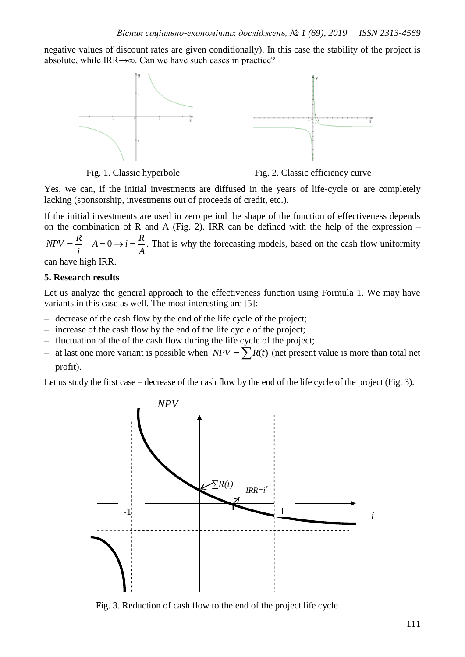negative values of discount rates are given conditionally). In this case the stability of the project is absolute, while IRR→∞. Can we have such cases in practice?





Yes, we can, if the initial investments are diffused in the years of life-cycle or are completely lacking (sponsorship, investments out of proceeds of credit, etc.).

If the initial investments are used in zero period the shape of the function of effectiveness depends on the combination of R and A (Fig. 2). IRR can be defined with the help of the expression  $-$ *A*  $A = 0 \rightarrow i = \frac{R}{i}$ *i*  $NPV = \frac{R}{A} - A = 0 \rightarrow i = \frac{R}{A}$ . That is why the forecasting models, based on the cash flow uniformity can have high IRR.

### **5. Research results**

Let us analyze the general approach to the effectiveness function using Formula 1. We may have variants in this case as well. The most interesting are [5]:

- ‒ decrease of the cash flow by the end of the life cycle of the project;
- ‒ increase of the cash flow by the end of the life cycle of the project;
- ‒ fluctuation of the of the cash flow during the life cycle of the project;
- at last one more variant is possible when  $NPV = \sum R(t)$  (net present value is more than total net profit).

Let us study the first case – decrease of the cash flow by the end of the life cycle of the project (Fig. 3).



Fig. 3. Reduction of cash flow to the end of the project life cycle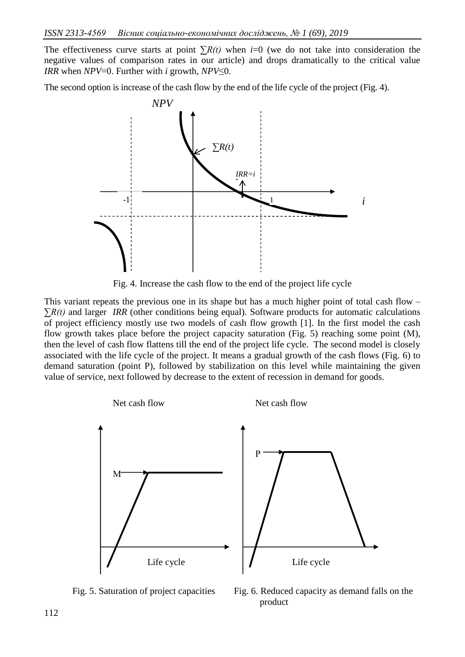The effectiveness curve starts at point *∑R(t)* when *i*=0 (we do not take into consideration the negative values of comparison rates in our article) and drops dramatically to the critical value *IRR* when *NPV*=0. Further with *i* growth, *NPV*≤0.

The second option is increase of the cash flow by the end of the life cycle of the project (Fig. 4).



Fig. 4. Increase the cash flow to the end of the project life cycle

This variant repeats the previous one in its shape but has a much higher point of total cash flow  $-$ *∑R(t)* and larger *IRR* (other conditions being equal). Software products for automatic calculations of project efficiency mostly use two models of cash flow growth [1]. In the first model the cash flow growth takes place before the project capacity saturation (Fig. 5) reaching some point (M), then the level of cash flow flattens till the end of the project life cycle. The second model is closely associated with the life cycle of the project. It means a gradual growth of the cash flows (Fig. 6) to demand saturation (point P), followed by stabilization on this level while maintaining the given value of service, next followed by decrease to the extent of recession in demand for goods.



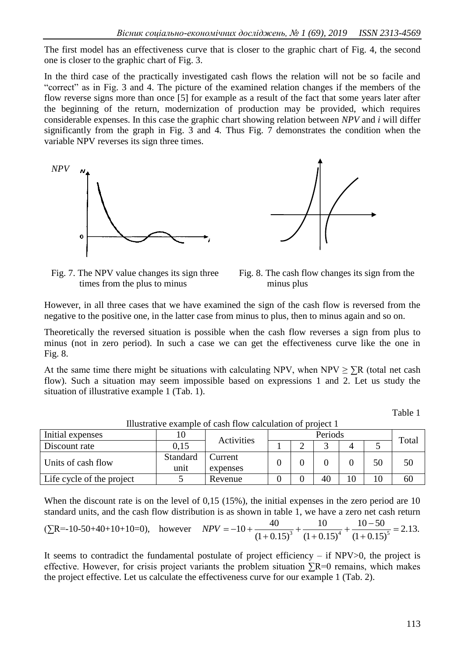The first model has an effectiveness curve that is closer to the graphic chart of Fig. 4, the second one is closer to the graphic chart of Fig. 3.

In the third case of the practically investigated cash flows the relation will not be so facile and "correct" as in Fig. 3 and 4. The picture of the examined relation changes if the members of the flow reverse signs more than once [5] for example as a result of the fact that some years later after the beginning of the return, modernization of production may be provided, which requires considerable expenses. In this case the graphic chart showing relation between *NPV* and *i* will differ significantly from the graph in Fig. 3 and 4*.* Thus Fig. 7 demonstrates the condition when the variable NPV reverses its sign three times.





 Fig. 7. The NPV value changes its sign three times from the plus to minus

Fig. 8. The cash flow changes its sign from the minus plus

However, in all three cases that we have examined the sign of the cash flow is reversed from the negative to the positive one, in the latter case from minus to plus, then to minus again and so on.

Theoretically the reversed situation is possible when the cash flow reverses a sign from plus to minus (not in zero period). In such a case we can get the effectiveness curve like the one in Fig. 8.

At the same time there might be situations with calculating NPV, when NPV  $\geq \sum R$  (total net cash flow). Such a situation may seem impossible based on expressions 1 and 2. Let us study the situation of illustrative example 1 (Tab. 1).

Table 1

| Initial expenses          | Activities |                             |  | Total |    |  |    |    |  |  |
|---------------------------|------------|-----------------------------|--|-------|----|--|----|----|--|--|
| Discount rate             | 0.15       |                             |  |       |    |  |    |    |  |  |
| Units of cash flow        | Standard   | Current<br>unit<br>expenses |  |       |    |  | 50 | 50 |  |  |
|                           |            |                             |  |       |    |  |    |    |  |  |
| Life cycle of the project |            | Revenue                     |  |       | 40 |  | 10 | 60 |  |  |

Illustrative example of cash flow calculation of project 1

When the discount rate is on the level of 0,15 (15%), the initial expenses in the zero period are 10 standard units, and the cash flow distribution is as shown in table 1, we have a zero net cash return

$$
(\Sigma R = -10 - 50 + 40 + 10 + 10 = 0), \quad \text{however} \quad NPV = -10 + \frac{40}{(1 + 0.15)^3} + \frac{10}{(1 + 0.15)^4} + \frac{10 - 50}{(1 + 0.15)^5} = 2.13.
$$

It seems to contradict the fundamental postulate of project efficiency – if  $NPV>0$ , the project is effective. However, for crisis project variants the problem situation  $\Sigma$ R=0 remains, which makes the project effective. Let us calculate the effectiveness curve for our example 1 (Tab. 2).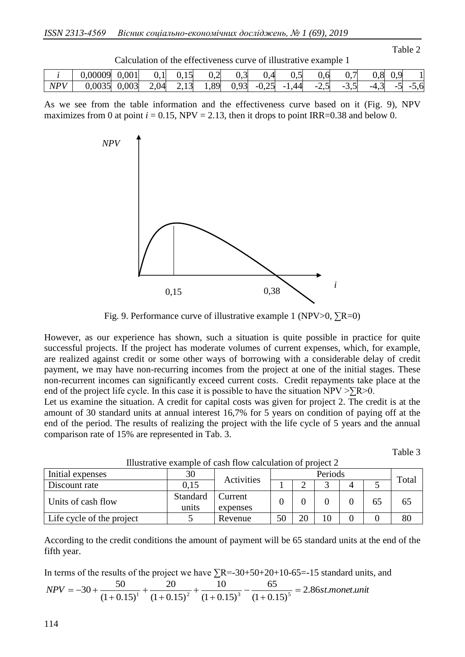Calculation of the effectiveness curve of illustrative example 1

|     | 0,00009 | 0,001 | U.I  | $\sim$<br>U.IJ              | ി<br>◡、∠ | $\sim$<br>J.J. | U.                   | ັບເປ           | 0,6           | U,        | 0,8             | በ ዓ<br>ぃ・ノ                         | IJ                              |
|-----|---------|-------|------|-----------------------------|----------|----------------|----------------------|----------------|---------------|-----------|-----------------|------------------------------------|---------------------------------|
| NPV | 0,0035  | 0,003 | 2,04 | $1^{\prime}$<br>$\sim$ 1. J | 1,89     | 0,93           | ำ.<br>$-U, \angle U$ | 44<br>ה<br>. . | $ \cdot$<br>⊷ | $-$<br>ັ້ | $\sim$<br>$-4,$ | ∼<br>-<br>$\overline{\phantom{a}}$ | 5,6<br>$\overline{\phantom{0}}$ |

As we see from the table information and the effectiveness curve based on it (Fig. 9), NPV maximizes from 0 at point  $i = 0.15$ , NPV = 2.13, then it drops to point IRR=0.38 and below 0.



Fig. 9. Performance curve of illustrative example 1 (NPV>0,  $\Sigma$ R=0)

However, as our experience has shown, such a situation is quite possible in practice for quite successful projects. If the project has moderate volumes of current expenses, which, for example, are realized against credit or some other ways of borrowing with a considerable delay of credit payment, we may have non-recurring incomes from the project at one of the initial stages. These non-recurrent incomes can significantly exceed current costs. Credit repayments take place at the end of the project life cycle. In this case it is possible to have the situation  $NPV > \overline{R} > 0$ .

Let us examine the situation. A credit for capital costs was given for project 2. The credit is at the amount of 30 standard units at annual interest 16,7% for 5 years on condition of paying off at the end of the period. The results of realizing the project with the life cycle of 5 years and the annual comparison rate of 15% are represented in Tab. 3.

Тable 3

Тable 2

| Initial expenses          | 30       | Activities |  | Periods |    |  |    |       |  |
|---------------------------|----------|------------|--|---------|----|--|----|-------|--|
| Discount rate             | 0.15     |            |  |         |    |  |    | Total |  |
| Units of cash flow        | Standard | Current    |  |         |    |  | 65 | 65    |  |
|                           | units    | expenses   |  |         |    |  |    |       |  |
| Life cycle of the project |          | Revenue    |  | 20      | 10 |  |    |       |  |

Illustrative example of cash flow calculation of project 2

According to the credit conditions the amount of payment will be 65 standard units at the end of the fifth year.

In terms of the results of the project we have  $\Sigma$ R=-30+50+20+10-65=-15 standard units, and  $NPV = -30 + \frac{50}{(1.0 \times 10^{11} + (1.0 \times 10^{12})^2 + (1.0 \times 10^{13} + (1.0 \times 10^{13} + 1.0 \times 10^{15})^2)})$  = 2.86*st.monet.unit*  $(1 + 0.15)$ 65  $(1 + 0.15)$ 10  $(1 + 0.15)$ 20  $30 + \frac{50}{(1+0.15)^1} + \frac{20}{(1+0.15)^2} + \frac{10}{(1+0.15)^3} - \frac{65}{(1+0.15)^5} =$  $^{+}$  $\overline{a}$  $^{+}$  $\ddot{}$  $^{+}$  $\ddot{}$  $^{+}$  $=-30+$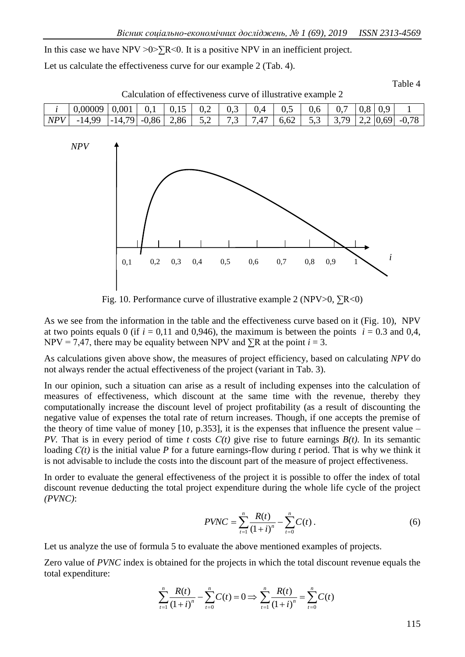In this case we have  $NPV > 0 > \sum R < 0$ . It is a positive NPV in an inefficient project.

Let us calculate the effectiveness curve for our example 2 (Tab. 4).

Тable 4

| Calculation of effectiveness curve of illustrative example 2             |  |  |  |  |  |  |  |  |  |  |  |  |
|--------------------------------------------------------------------------|--|--|--|--|--|--|--|--|--|--|--|--|
|                                                                          |  |  |  |  |  |  |  |  |  |  |  |  |
| $NPV$ -14,99 -14,79 -0,86 2,86 5,2 7,3 7,47 6,62 5,3 3,79 2,2 0,69 -0,78 |  |  |  |  |  |  |  |  |  |  |  |  |



Fig. 10. Performance curve of illustrative example 2 (NPV>0,  $\Sigma$ R<0)

As we see from the information in the table and the effectiveness curve based on it (Fig. 10), NPV at two points equals 0 (if  $i = 0.11$  and 0,946), the maximum is between the points  $i = 0.3$  and 0,4, NPV = 7,47, there may be equality between NPV and  $\Sigma$ R at the point *i* = 3.

As calculations given above show, the measures of project efficiency, based on calculating *NPV* do not always render the actual effectiveness of the project (variant in Tab. 3).

In our opinion, such a situation can arise as a result of including expenses into the calculation of measures of effectiveness, which discount at the same time with the revenue, thereby they computationally increase the discount level of project profitability (as a result of discounting the negative value of expenses the total rate of return increases. Though, if one accepts the premise of the theory of time value of money  $[10, p.353]$ , it is the expenses that influence the present value – *PV.* That is in every period of time *t* costs  $C(t)$  give rise to future earnings  $B(t)$ . In its semantic loading *С(t)* is the initial value *P* for a future earnings-flow during *t* period. That is why we think it is not advisable to include the costs into the discount part of the measure of project effectiveness.

In order to evaluate the general effectiveness of the project it is possible to offer the index of total discount revenue deducting the total project expenditure during the whole life cycle of the project *(PVNC)*:

$$
PVNC = \sum_{t=1}^{n} \frac{R(t)}{(1+i)^n} - \sum_{t=0}^{n} C(t).
$$
 (6)

Let us analyze the use of formula 5 to evaluate the above mentioned examples of projects.

Zero value of *PVNC* index is obtained for the projects in which the total discount revenue equals the total expenditure:

$$
\sum_{t=1}^{n} \frac{R(t)}{(1+i)^n} - \sum_{t=0}^{n} C(t) = 0 \Longrightarrow \sum_{t=1}^{n} \frac{R(t)}{(1+i)^n} = \sum_{t=0}^{n} C(t)
$$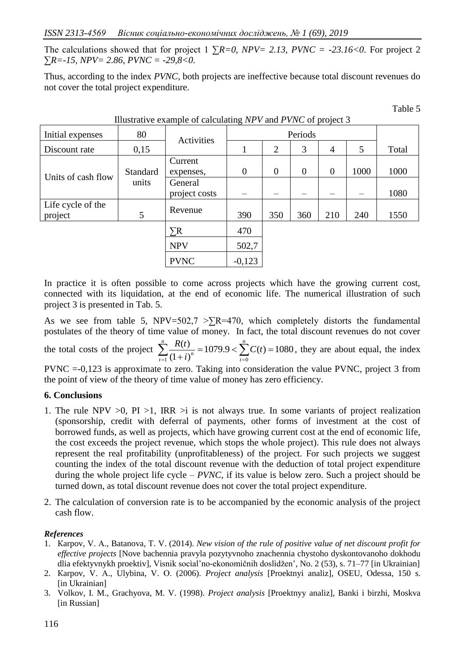The calculations showed that for project 1  $\sum R = 0$ ,  $NPV = 2.13$ ,  $PVNC = -23.16 < 0$ . For project 2 ∑*R=-15, NPV= 2.86, PVNC = -29,8<0.*

Thus, according to the index *PVNC,* both projects are ineffective because total discount revenues do not cover the total project expenditure.

Тable 5

| Illustrative example of calculating NPV and PVNC of project 3 |                 |                          |                  |                |          |                |      |       |  |  |
|---------------------------------------------------------------|-----------------|--------------------------|------------------|----------------|----------|----------------|------|-------|--|--|
| Initial expenses                                              | 80              | Activities               |                  |                |          |                |      |       |  |  |
| Discount rate                                                 | 0,15            |                          | 1                | $\overline{2}$ | 3        | $\overline{4}$ | 5    | Total |  |  |
| Units of cash flow                                            | <b>Standard</b> | Current<br>expenses,     | $\boldsymbol{0}$ | $\theta$       | $\theta$ | $\theta$       | 1000 | 1000  |  |  |
|                                                               | units           | General<br>project costs |                  |                |          |                |      | 1080  |  |  |
| Life cycle of the<br>project                                  | 5               | Revenue                  | 390              | 350            | 360      | 210            | 240  | 1550  |  |  |
|                                                               |                 | $\Sigma$ R               | 470              |                |          |                |      |       |  |  |
|                                                               |                 | <b>NPV</b>               | 502,7            |                |          |                |      |       |  |  |
|                                                               |                 | <b>PVNC</b>              | $-0,123$         |                |          |                |      |       |  |  |

In practice it is often possible to come across projects which have the growing current cost, connected with its liquidation, at the end of economic life. The numerical illustration of such project 3 is presented in Tab. 5.

As we see from table 5, NPV=502,7 >  $R=470$ , which completely distorts the fundamental postulates of the theory of time value of money. In fact, the total discount revenues do not cover

the total costs of the project  $\sum_{n=0}^{\infty} \frac{R(t)}{n} = 1079.9 < \sum_{n=0}^{\infty} C(t) = 1080$  $(1 + i)$  $(t)$  $\sum_{t=1}^{n} \frac{R(t)}{(1+i)^n} = 1079.9 < \sum_{t=0}^{n} C(t) =$ *t n*  $\sum_{t=1}^{\infty} \frac{R(t)}{(1+i)^n} = 1079.9 < \sum_{t=0}^{\infty} C(t)$ *i*  $rac{R(t)}{R(t)} = 1079.9 < \sum_{r=0}^{n} C(t) = 1080$ , they are about equal, the index

PVNC =-0,123 is approximate to zero. Taking into consideration the value PVNC, project 3 from the point of view of the theory of time value of money has zero efficiency.

# **6. Conclusions**

- 1. The rule NPV  $>0$ , PI  $>1$ , IRR  $>$ i is not always true. In some variants of project realization (sponsorship, credit with deferral of payments, other forms of investment at the cost of borrowed funds, as well as projects, which have growing current cost at the end of economic life, the cost exceeds the project revenue, which stops the whole project). This rule does not always represent the real profitability (unprofitableness) of the project. For such projects we suggest counting the index of the total discount revenue with the deduction of total project expenditure during the whole project life cycle *– PVNC,* if its value is below zero. Such a project should be turned down, as total discount revenue does not cover the total project expenditure.
- 2. The calculation of conversion rate is to be accompanied by the economic analysis of the project cash flow.

# *References*

- 1. Кarpov, V. А., Batanova, Т. V. (2014). *New vision of the rule of positive value of net discount profit for effective projects* [Nove bachennia pravyla pozytyvnoho znachennia chystoho dyskontovanoho dokhodu dlia efektyvnykh proektiv], Vìsnik socìal'no-ekonomìčnih doslìdžen', No. 2 (53), s. 71–77 [in Ukrainian]
- 2. Кarpov, V. А., Ulybina, V. О. (2006). *Project analysis* [Proektnyi analiz], ОSEU, Оdessa, 150 s. [in Ukrainian]
- 3. Volkov, I. M., Grachyova, M. V. (1998). *Project analysis* [Proektnyy analiz], Banki i birzhi, Moskva [in Russian]